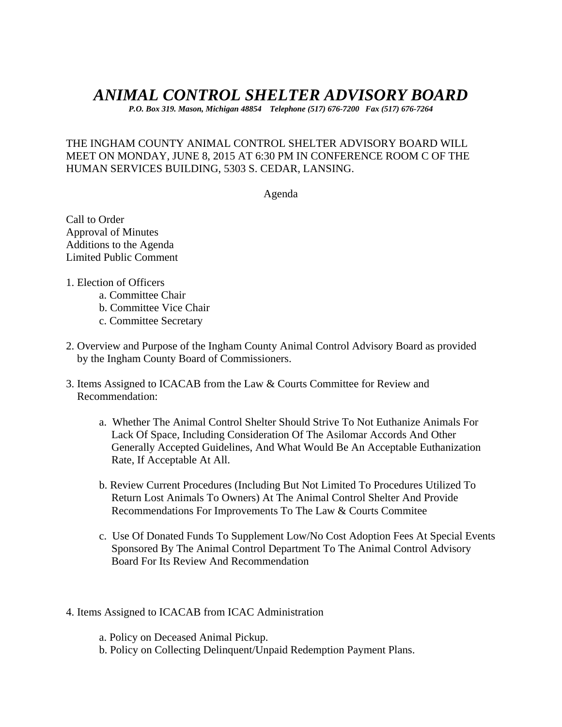# *ANIMAL CONTROL SHELTER ADVISORY BOARD*

*P.O. Box 319. Mason, Michigan 48854 Telephone (517) 676-7200 Fax (517) 676-7264*

### THE INGHAM COUNTY ANIMAL CONTROL SHELTER ADVISORY BOARD WILL MEET ON MONDAY, JUNE 8, 2015 AT 6:30 PM IN CONFERENCE ROOM C OF THE HUMAN SERVICES BUILDING, 5303 S. CEDAR, LANSING.

Agenda

Call to Order Approval of Minutes Additions to the Agenda Limited Public Comment

- 1. Election of Officers
	- a. Committee Chair
	- b. Committee Vice Chair
	- c. Committee Secretary
- 2. Overview and Purpose of the Ingham County Animal Control Advisory Board as provided by the Ingham County Board of Commissioners.
- 3. Items Assigned to ICACAB from the Law & Courts Committee for Review and Recommendation:
	- a. Whether The Animal Control Shelter Should Strive To Not Euthanize Animals For Lack Of Space, Including Consideration Of The Asilomar Accords And Other Generally Accepted Guidelines, And What Would Be An Acceptable Euthanization Rate, If Acceptable At All.
	- b. Review Current Procedures (Including But Not Limited To Procedures Utilized To Return Lost Animals To Owners) At The Animal Control Shelter And Provide Recommendations For Improvements To The Law & Courts Commitee
	- c. Use Of Donated Funds To Supplement Low/No Cost Adoption Fees At Special Events Sponsored By The Animal Control Department To The Animal Control Advisory Board For Its Review And Recommendation
- 4. Items Assigned to ICACAB from ICAC Administration
	- a. Policy on Deceased Animal Pickup.
	- b. Policy on Collecting Delinquent/Unpaid Redemption Payment Plans.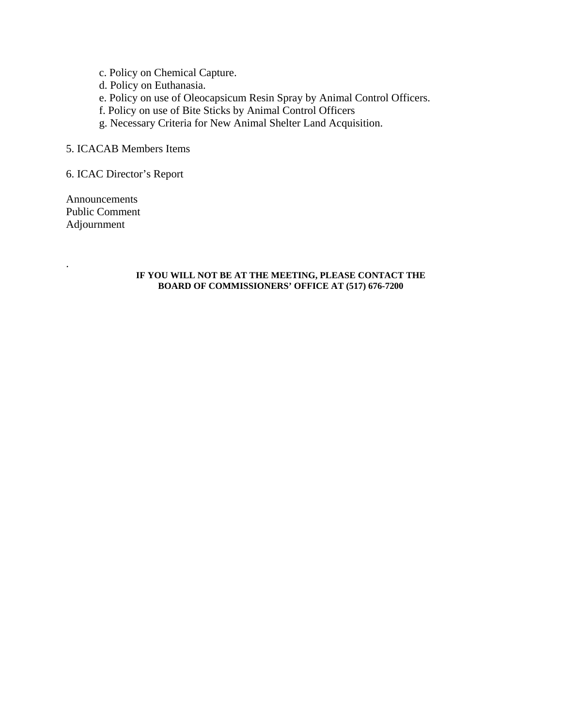- c. Policy on Chemical Capture.
- d. Policy on Euthanasia.
- e. Policy on use of Oleocapsicum Resin Spray by Animal Control Officers.
- f. Policy on use of Bite Sticks by Animal Control Officers
- g. Necessary Criteria for New Animal Shelter Land Acquisition.

#### 5. ICACAB Members Items

6. ICAC Director's Report

Announcements Public Comment Adjournment

.

#### **IF YOU WILL NOT BE AT THE MEETING, PLEASE CONTACT THE BOARD OF COMMISSIONERS' OFFICE AT (517) 676-7200**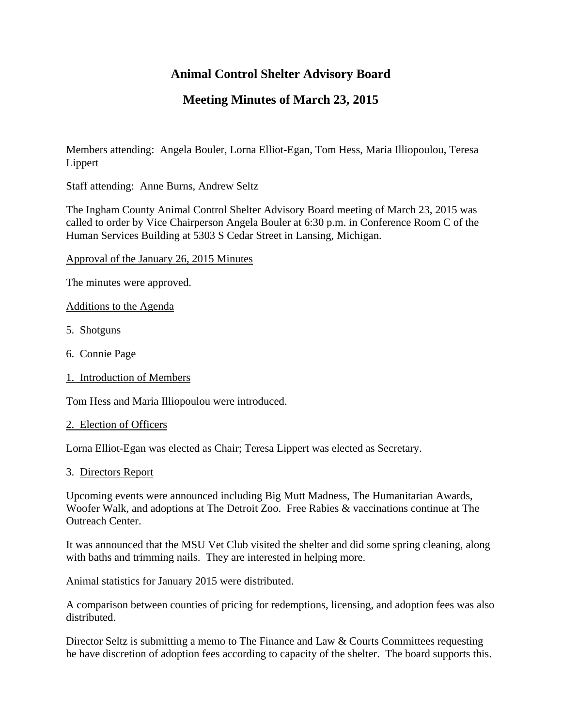# **Animal Control Shelter Advisory Board**

# **Meeting Minutes of March 23, 2015**

Members attending: Angela Bouler, Lorna Elliot-Egan, Tom Hess, Maria Illiopoulou, Teresa Lippert

Staff attending: Anne Burns, Andrew Seltz

The Ingham County Animal Control Shelter Advisory Board meeting of March 23, 2015 was called to order by Vice Chairperson Angela Bouler at 6:30 p.m. in Conference Room C of the Human Services Building at 5303 S Cedar Street in Lansing, Michigan.

Approval of the January 26, 2015 Minutes

The minutes were approved.

Additions to the Agenda

- 5. Shotguns
- 6. Connie Page
- 1. Introduction of Members

Tom Hess and Maria Illiopoulou were introduced.

#### 2. Election of Officers

Lorna Elliot-Egan was elected as Chair; Teresa Lippert was elected as Secretary.

#### 3. Directors Report

Upcoming events were announced including Big Mutt Madness, The Humanitarian Awards, Woofer Walk, and adoptions at The Detroit Zoo. Free Rabies & vaccinations continue at The Outreach Center.

It was announced that the MSU Vet Club visited the shelter and did some spring cleaning, along with baths and trimming nails. They are interested in helping more.

Animal statistics for January 2015 were distributed.

A comparison between counties of pricing for redemptions, licensing, and adoption fees was also distributed.

Director Seltz is submitting a memo to The Finance and Law & Courts Committees requesting he have discretion of adoption fees according to capacity of the shelter. The board supports this.